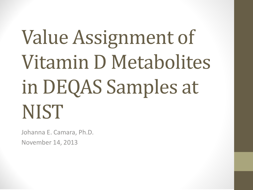# Value Assignment of Vitamin D Metabolites in DEQAS Samples at **NIST**

Johanna E. Camara, Ph.D. November 14, 2013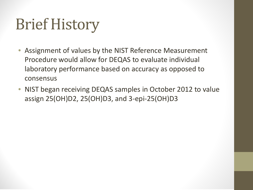# Brief History

- Assignment of values by the NIST Reference Measurement Procedure would allow for DEQAS to evaluate individual laboratory performance based on accuracy as opposed to consensus
- NIST began receiving DEQAS samples in October 2012 to value assign 25(OH)D2, 25(OH)D3, and 3-epi-25(OH)D3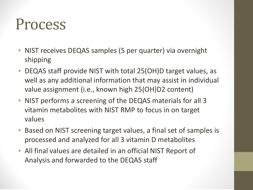### Process

- NIST receives DEQAS samples (5 per quarter) via overnight shipping
- DEQAS staff provide NIST with total 25(OH)D target values, as well as any additional information that may assist in individual value assignment (i.e., known high 25(OH)D2 content)
- NIST performs a screening of the DEQAS materials for all 3 vitamin metabolites with NIST RMP to focus in on target values
- Based on NIST screening target values, a final set of samples is processed and analyzed for all 3 vitamin D metabolites
- All final values are detailed in an official NIST Report of Analysis and forwarded to the DEQAS staff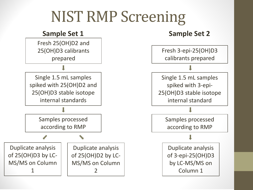### NIST RMP Screening

#### **Sample Set 1 Sample Set 2** Single 1.5 mL samples spiked with 25(OH)D2 and 25(OH)D3 stable isotope internal standards Single 1.5 mL samples spiked with 3-epi-25(OH)D3 stable isotope internal standard Samples processed according to RMP Samples processed according to RMP Fresh 25(OH)D2 and 25(OH)D3 calibrants prepared Fresh 3-epi-25(OH)D3 calibrants prepared Duplicate analysis of 25(OH)D3 by LC-MS/MS on Column 1 Duplicate analysis of 25(OH)D2 by LC-MS/MS on Column 2 Duplicate analysis of 3-epi-25(OH)D3 by LC-MS/MS on Column 1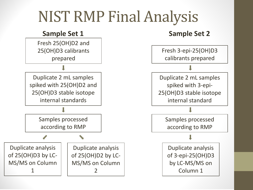### NIST RMP Final Analysis

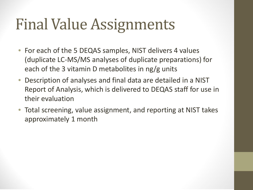## Final Value Assignments

- For each of the 5 DEQAS samples, NIST delivers 4 values (duplicate LC-MS/MS analyses of duplicate preparations) for each of the 3 vitamin D metabolites in  $ng/g$  units
- Description of analyses and final data are detailed in a NIST Report of Analysis, which is delivered to DEQAS staff for use in their evaluation
- Total screening, value assignment, and reporting at NIST takes approximately 1 month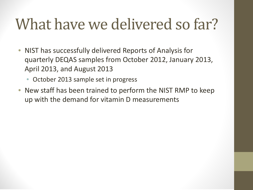## What have we delivered so far?

- NIST has successfully delivered Reports of Analysis for quarterly DEQAS samples from October 2012, January 2013, April 2013, and August 2013
	- October 2013 sample set in progress
- New staff has been trained to perform the NIST RMP to keep up with the demand for vitamin D measurements